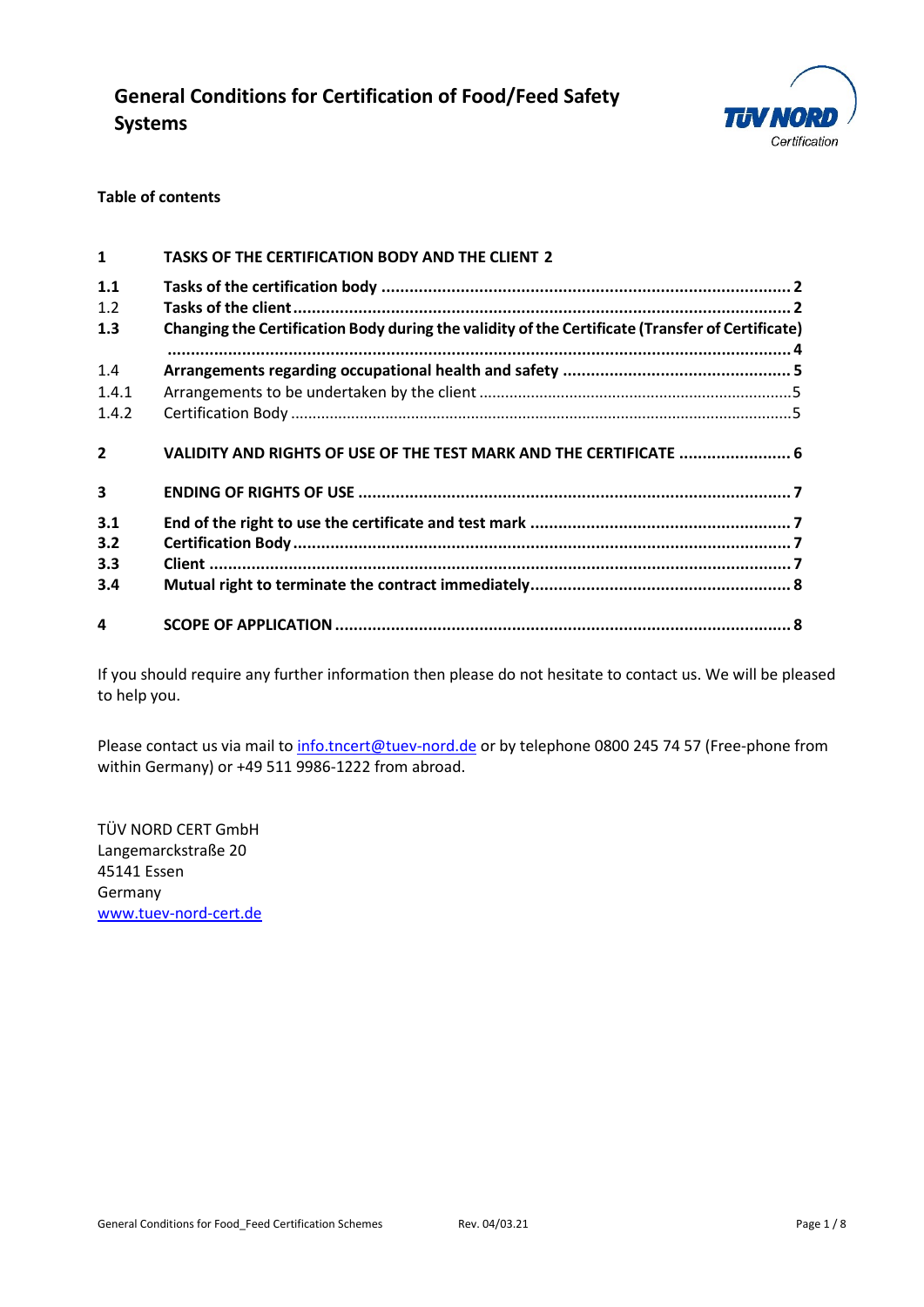

### **Table of contents**

| $\mathbf{1}$            | TASKS OF THE CERTIFICATION BODY AND THE CLIENT 2                                                 |  |
|-------------------------|--------------------------------------------------------------------------------------------------|--|
| 1.1<br>1.2              |                                                                                                  |  |
| 1.3                     | Changing the Certification Body during the validity of the Certificate (Transfer of Certificate) |  |
| 1.4                     |                                                                                                  |  |
| 1.4.1                   |                                                                                                  |  |
| 1.4.2                   |                                                                                                  |  |
| $\overline{2}$          | VALIDITY AND RIGHTS OF USE OF THE TEST MARK AND THE CERTIFICATE  6                               |  |
| $\overline{\mathbf{3}}$ |                                                                                                  |  |
| 3.1                     |                                                                                                  |  |
| 3.2                     |                                                                                                  |  |
| 3.3                     |                                                                                                  |  |
| 3.4                     |                                                                                                  |  |
| 4                       |                                                                                                  |  |

If you should require any further information then please do not hesitate to contact us. We will be pleased to help you.

Please contact us via mail t[o info.tncert@tuev-nord.de](mailto:info.tncert@tuev-nord.de) or by telephone 0800 245 74 57 (Free-phone from within Germany) or +49 511 9986-1222 from abroad.

TÜV NORD CERT GmbH Langemarckstraße 20 45141 Essen Germany [www.tuev-nord-cert.de](http://www.tuev-nord-cert.de/)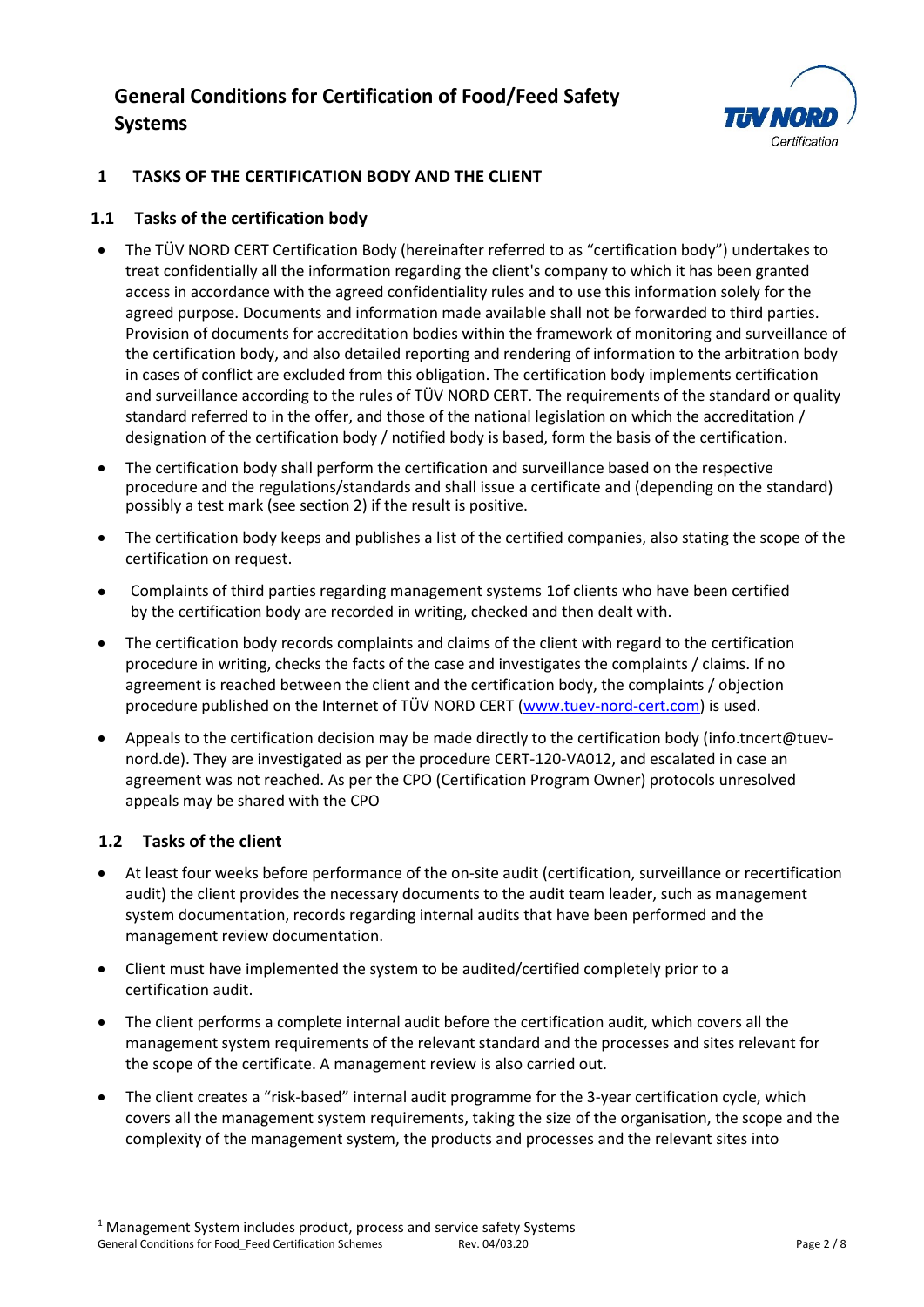

## **1 TASKS OF THE CERTIFICATION BODY AND THE CLIENT**

## **1.1 Tasks of the certification body**

- The TÜV NORD CERT Certification Body (hereinafter referred to as "certification body") undertakes to treat confidentially all the information regarding the client's company to which it has been granted access in accordance with the agreed confidentiality rules and to use this information solely for the agreed purpose. Documents and information made available shall not be forwarded to third parties. Provision of documents for accreditation bodies within the framework of monitoring and surveillance of the certification body, and also detailed reporting and rendering of information to the arbitration body in cases of conflict are excluded from this obligation. The certification body implements certification and surveillance according to the rules of TÜV NORD CERT. The requirements of the standard or quality standard referred to in the offer, and those of the national legislation on which the accreditation / designation of the certification body / notified body is based, form the basis of the certification.
- The certification body shall perform the certification and surveillance based on the respective procedure and the regulations/standards and shall issue a certificate and (depending on the standard) possibly a test mark (see section 2) if the result is positive.
- The certification body keeps and publishes a list of the certified companies, also stating the scope of the certification on request.
- Complaints of third parties regarding management systems [1o](#page-1-0)f clients who have been certified by the certification body are recorded in writing, checked and then dealt with.
- The certification body records complaints and claims of the client with regard to the certification procedure in writing, checks the facts of the case and investigates the complaints / claims. If no agreement is reached between the client and the certification body, the complaints / objection procedure published on the Internet of TÜV NORD CERT [\(www.tuev-nord-cert.com\)](http://www.tuev-nord-cert.com/) is used.
- Appeals to the certification decision may be made directly to the certification body [\(info.tncert@tuev](mailto:info.tncert@tuev-nord.de)[nord.de\)](mailto:info.tncert@tuev-nord.de). They are investigated as per the procedure CERT-120-VA012, and escalated in case an agreement was not reached. As per the CPO (Certification Program Owner) protocols unresolved appeals may be shared with the CPO

## **1.2 Tasks of the client**

- At least four weeks before performance of the on-site audit (certification, surveillance or recertification audit) the client provides the necessary documents to the audit team leader, such as management system documentation, records regarding internal audits that have been performed and the management review documentation.
- Client must have implemented the system to be audited/certified completely prior to a certification audit.
- The client performs a complete internal audit before the certification audit, which covers all the management system requirements of the relevant standard and the processes and sites relevant for the scope of the certificate. A management review is also carried out.
- The client creates a "risk-based" internal audit programme for the 3-year certification cycle, which covers all the management system requirements, taking the size of the organisation, the scope and the complexity of the management system, the products and processes and the relevant sites into

<span id="page-1-0"></span>General Conditions for Food\_Feed Certification Schemes Rev. 04/03.20 Page 2 / 8 <sup>1</sup> Management System includes product, process and service safety Systems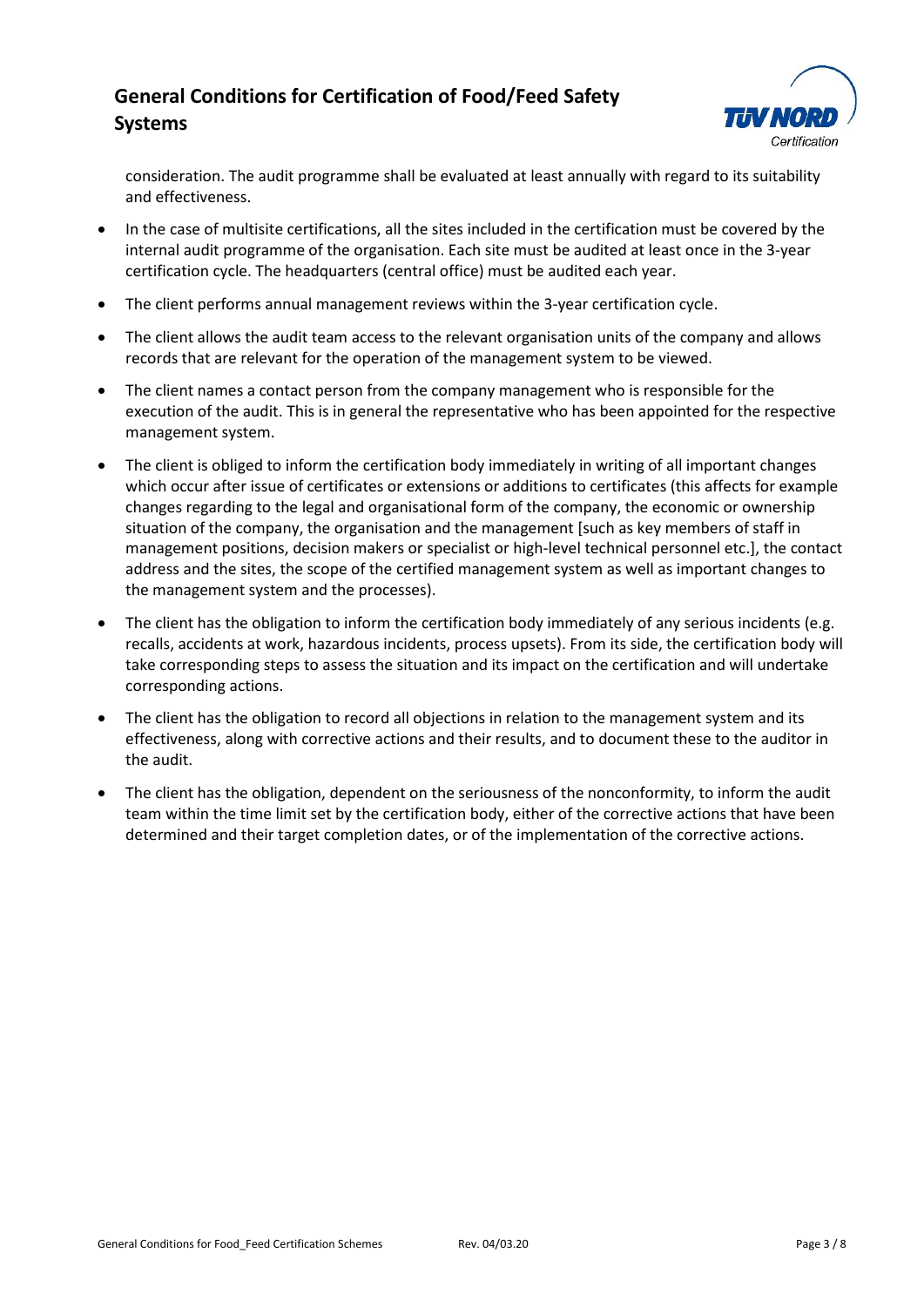

consideration. The audit programme shall be evaluated at least annually with regard to its suitability and effectiveness.

- In the case of multisite certifications, all the sites included in the certification must be covered by the internal audit programme of the organisation. Each site must be audited at least once in the 3-year certification cycle. The headquarters (central office) must be audited each year.
- The client performs annual management reviews within the 3-year certification cycle.
- The client allows the audit team access to the relevant organisation units of the company and allows records that are relevant for the operation of the management system to be viewed.
- The client names a contact person from the company management who is responsible for the execution of the audit. This is in general the representative who has been appointed for the respective management system.
- The client is obliged to inform the certification body immediately in writing of all important changes which occur after issue of certificates or extensions or additions to certificates (this affects for example changes regarding to the legal and organisational form of the company, the economic or ownership situation of the company, the organisation and the management [such as key members of staff in management positions, decision makers or specialist or high-level technical personnel etc.], the contact address and the sites, the scope of the certified management system as well as important changes to the management system and the processes).
- The client has the obligation to inform the certification body immediately of any serious incidents (e.g. recalls, accidents at work, hazardous incidents, process upsets). From its side, the certification body will take corresponding steps to assess the situation and its impact on the certification and will undertake corresponding actions.
- The client has the obligation to record all objections in relation to the management system and its effectiveness, along with corrective actions and their results, and to document these to the auditor in the audit.
- The client has the obligation, dependent on the seriousness of the nonconformity, to inform the audit team within the time limit set by the certification body, either of the corrective actions that have been determined and their target completion dates, or of the implementation of the corrective actions.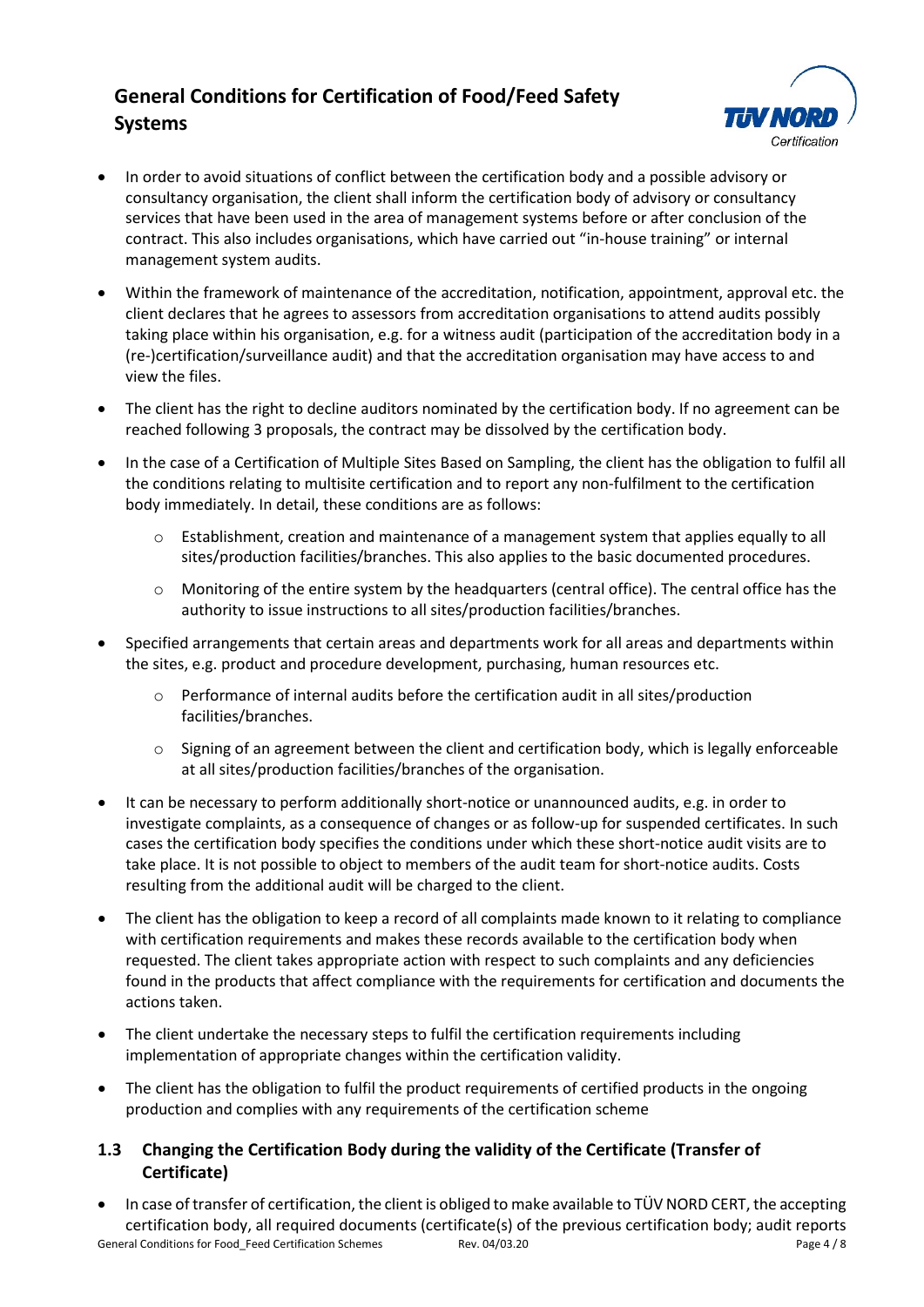

- In order to avoid situations of conflict between the certification body and a possible advisory or consultancy organisation, the client shall inform the certification body of advisory or consultancy services that have been used in the area of management systems before or after conclusion of the contract. This also includes organisations, which have carried out "in-house training" or internal management system audits.
- Within the framework of maintenance of the accreditation, notification, appointment, approval etc. the client declares that he agrees to assessors from accreditation organisations to attend audits possibly taking place within his organisation, e.g. for a witness audit (participation of the accreditation body in a (re-)certification/surveillance audit) and that the accreditation organisation may have access to and view the files.
- The client has the right to decline auditors nominated by the certification body. If no agreement can be reached following 3 proposals, the contract may be dissolved by the certification body.
- In the case of a Certification of Multiple Sites Based on Sampling, the client has the obligation to fulfil all the conditions relating to multisite certification and to report any non-fulfilment to the certification body immediately. In detail, these conditions are as follows:
	- $\circ$  Establishment, creation and maintenance of a management system that applies equally to all sites/production facilities/branches. This also applies to the basic documented procedures.
	- o Monitoring of the entire system by the headquarters (central office). The central office has the authority to issue instructions to all sites/production facilities/branches.
- Specified arrangements that certain areas and departments work for all areas and departments within the sites, e.g. product and procedure development, purchasing, human resources etc.
	- $\circ$  Performance of internal audits before the certification audit in all sites/production facilities/branches.
	- $\circ$  Signing of an agreement between the client and certification body, which is legally enforceable at all sites/production facilities/branches of the organisation.
- It can be necessary to perform additionally short-notice or unannounced audits, e.g. in order to investigate complaints, as a consequence of changes or as follow-up for suspended certificates. In such cases the certification body specifies the conditions under which these short-notice audit visits are to take place. It is not possible to object to members of the audit team for short-notice audits. Costs resulting from the additional audit will be charged to the client.
- The client has the obligation to keep a record of all complaints made known to it relating to compliance with certification requirements and makes these records available to the certification body when requested. The client takes appropriate action with respect to such complaints and any deficiencies found in the products that affect compliance with the requirements for certification and documents the actions taken.
- The client undertake the necessary steps to fulfil the certification requirements including implementation of appropriate changes within the certification validity.
- The client has the obligation to fulfil the product requirements of certified products in the ongoing production and complies with any requirements of the certification scheme

## **1.3 Changing the Certification Body during the validity of the Certificate (Transfer of Certificate)**

General Conditions for Food\_Feed Certification Schemes Rev. 04/03.20 Page 4 / 8 • In case of transfer of certification, the client is obliged to make available to TÜV NORD CERT, the accepting certification body, all required documents (certificate(s) of the previous certification body; audit reports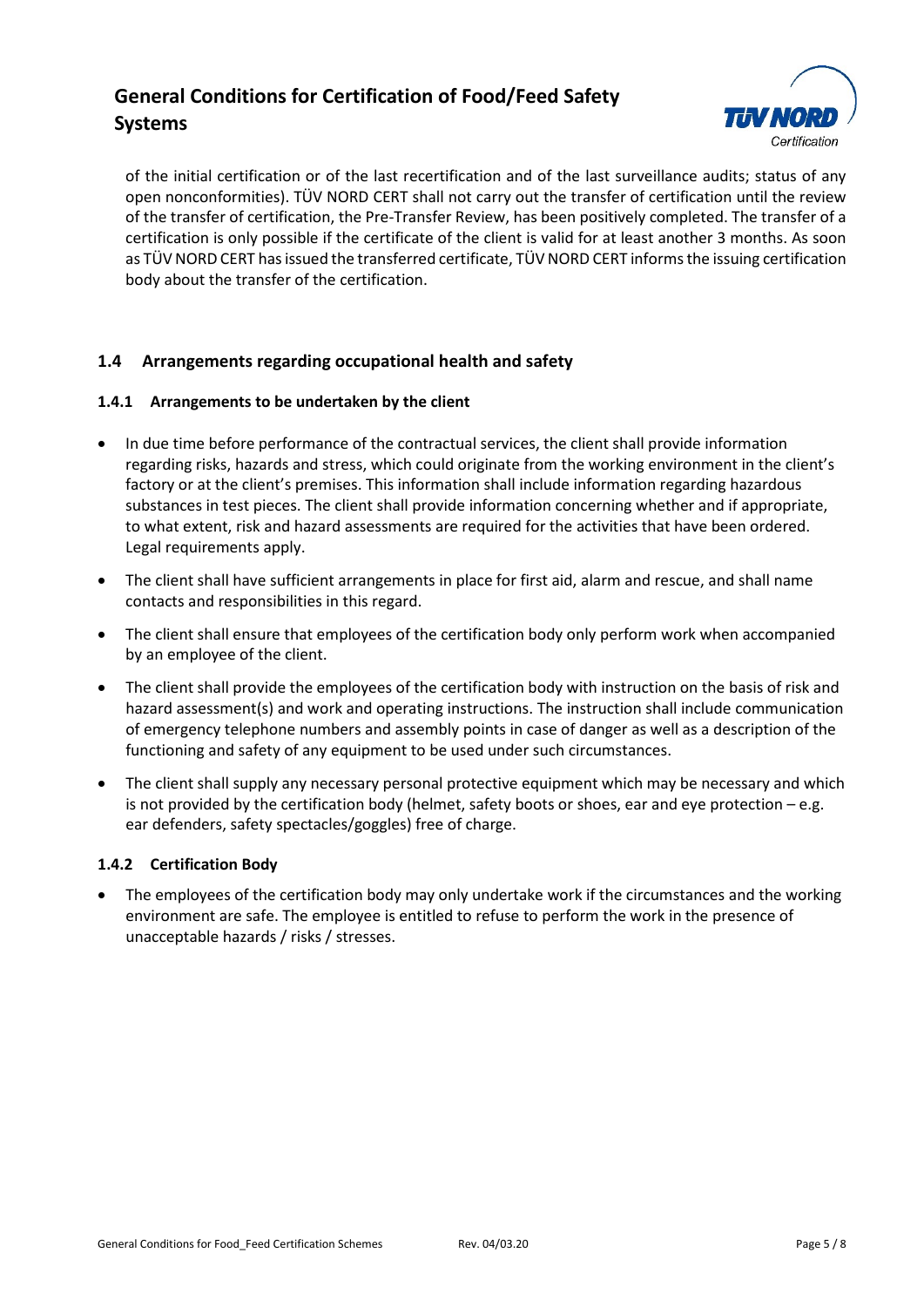

of the initial certification or of the last recertification and of the last surveillance audits; status of any open nonconformities). TÜV NORD CERT shall not carry out the transfer of certification until the review of the transfer of certification, the Pre-Transfer Review, has been positively completed. The transfer of a certification is only possible if the certificate of the client is valid for at least another 3 months. As soon as TÜV NORD CERT has issued the transferred certificate, TÜV NORD CERT informs the issuing certification body about the transfer of the certification.

## **1.4 Arrangements regarding occupational health and safety**

### **1.4.1 Arrangements to be undertaken by the client**

- In due time before performance of the contractual services, the client shall provide information regarding risks, hazards and stress, which could originate from the working environment in the client's factory or at the client's premises. This information shall include information regarding hazardous substances in test pieces. The client shall provide information concerning whether and if appropriate, to what extent, risk and hazard assessments are required for the activities that have been ordered. Legal requirements apply.
- The client shall have sufficient arrangements in place for first aid, alarm and rescue, and shall name contacts and responsibilities in this regard.
- The client shall ensure that employees of the certification body only perform work when accompanied by an employee of the client.
- The client shall provide the employees of the certification body with instruction on the basis of risk and hazard assessment(s) and work and operating instructions. The instruction shall include communication of emergency telephone numbers and assembly points in case of danger as well as a description of the functioning and safety of any equipment to be used under such circumstances.
- The client shall supply any necessary personal protective equipment which may be necessary and which is not provided by the certification body (helmet, safety boots or shoes, ear and eye protection – e.g. ear defenders, safety spectacles/goggles) free of charge.

#### **1.4.2 Certification Body**

• The employees of the certification body may only undertake work if the circumstances and the working environment are safe. The employee is entitled to refuse to perform the work in the presence of unacceptable hazards / risks / stresses.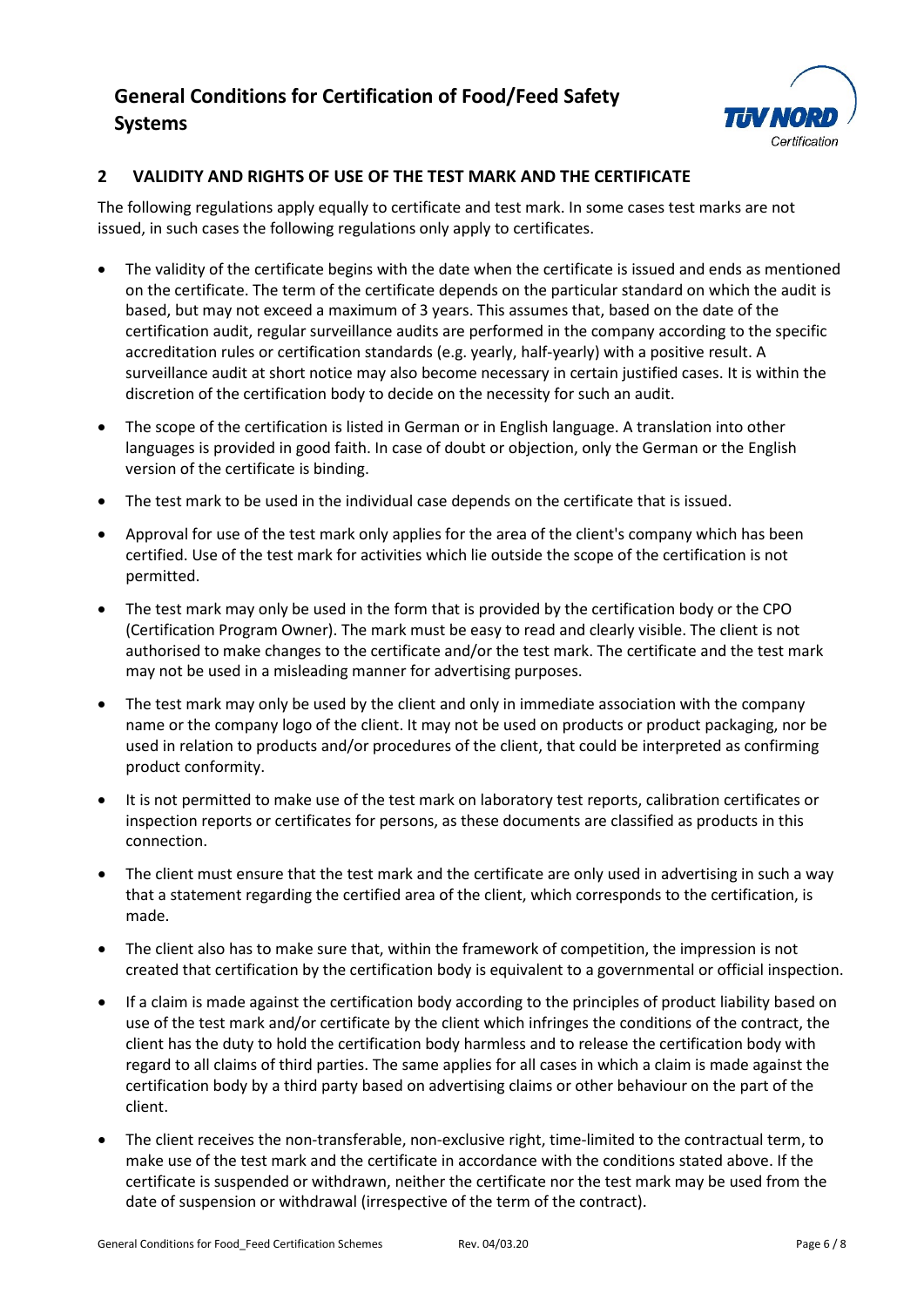

## **2 VALIDITY AND RIGHTS OF USE OF THE TEST MARK AND THE CERTIFICATE**

The following regulations apply equally to certificate and test mark. In some cases test marks are not issued, in such cases the following regulations only apply to certificates.

- The validity of the certificate begins with the date when the certificate is issued and ends as mentioned on the certificate. The term of the certificate depends on the particular standard on which the audit is based, but may not exceed a maximum of 3 years. This assumes that, based on the date of the certification audit, regular surveillance audits are performed in the company according to the specific accreditation rules or certification standards (e.g. yearly, half-yearly) with a positive result. A surveillance audit at short notice may also become necessary in certain justified cases. It is within the discretion of the certification body to decide on the necessity for such an audit.
- The scope of the certification is listed in German or in English language. A translation into other languages is provided in good faith. In case of doubt or objection, only the German or the English version of the certificate is binding.
- The test mark to be used in the individual case depends on the certificate that is issued.
- Approval for use of the test mark only applies for the area of the client's company which has been certified. Use of the test mark for activities which lie outside the scope of the certification is not permitted.
- The test mark may only be used in the form that is provided by the certification body or the CPO (Certification Program Owner). The mark must be easy to read and clearly visible. The client is not authorised to make changes to the certificate and/or the test mark. The certificate and the test mark may not be used in a misleading manner for advertising purposes.
- The test mark may only be used by the client and only in immediate association with the company name or the company logo of the client. It may not be used on products or product packaging, nor be used in relation to products and/or procedures of the client, that could be interpreted as confirming product conformity.
- It is not permitted to make use of the test mark on laboratory test reports, calibration certificates or inspection reports or certificates for persons, as these documents are classified as products in this connection.
- The client must ensure that the test mark and the certificate are only used in advertising in such a way that a statement regarding the certified area of the client, which corresponds to the certification, is made.
- The client also has to make sure that, within the framework of competition, the impression is not created that certification by the certification body is equivalent to a governmental or official inspection.
- If a claim is made against the certification body according to the principles of product liability based on use of the test mark and/or certificate by the client which infringes the conditions of the contract, the client has the duty to hold the certification body harmless and to release the certification body with regard to all claims of third parties. The same applies for all cases in which a claim is made against the certification body by a third party based on advertising claims or other behaviour on the part of the client.
- The client receives the non-transferable, non-exclusive right, time-limited to the contractual term, to make use of the test mark and the certificate in accordance with the conditions stated above. If the certificate is suspended or withdrawn, neither the certificate nor the test mark may be used from the date of suspension or withdrawal (irrespective of the term of the contract).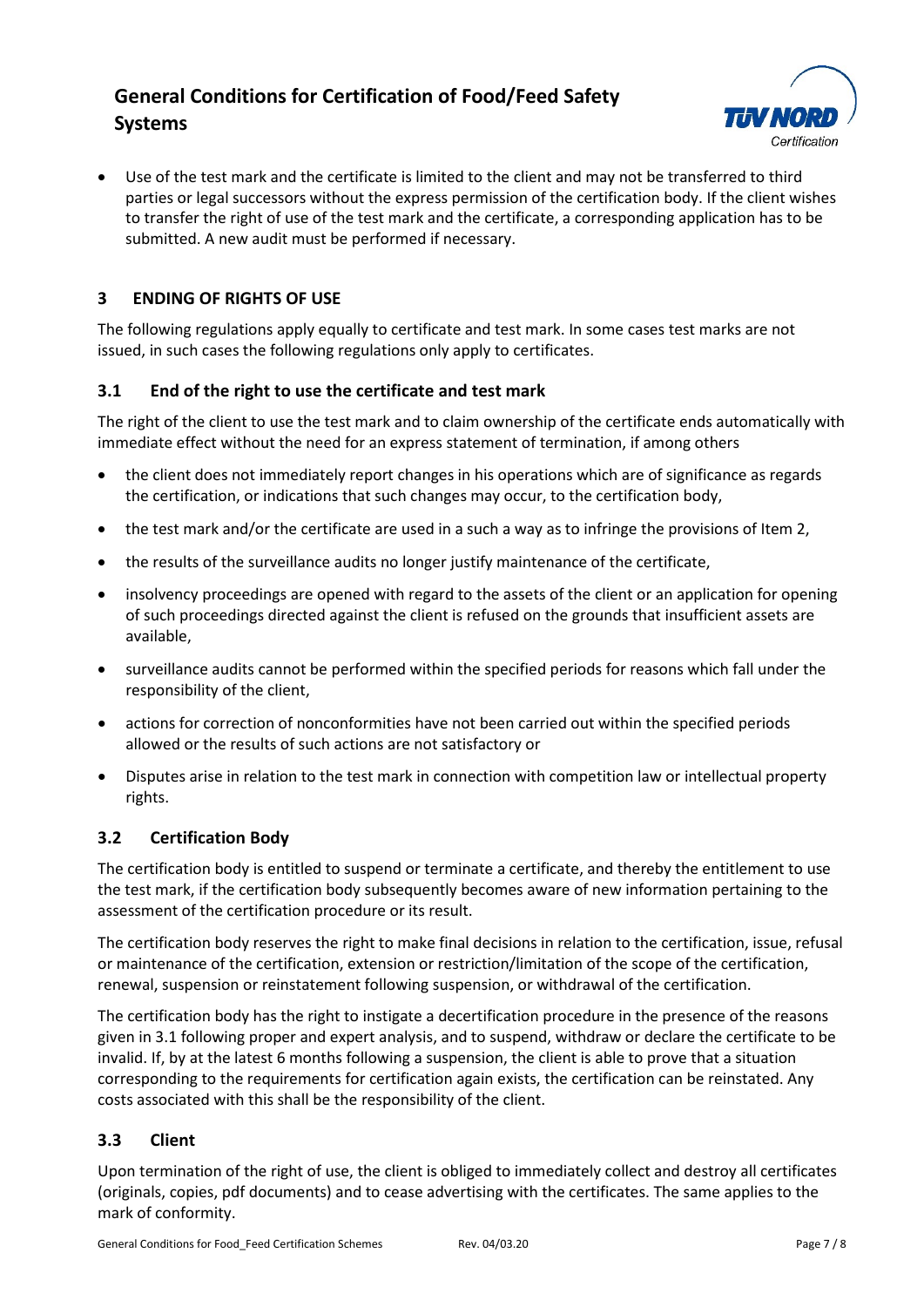

• Use of the test mark and the certificate is limited to the client and may not be transferred to third parties or legal successors without the express permission of the certification body. If the client wishes to transfer the right of use of the test mark and the certificate, a corresponding application has to be submitted. A new audit must be performed if necessary.

# **3 ENDING OF RIGHTS OF USE**

The following regulations apply equally to certificate and test mark. In some cases test marks are not issued, in such cases the following regulations only apply to certificates.

## **3.1 End of the right to use the certificate and test mark**

The right of the client to use the test mark and to claim ownership of the certificate ends automatically with immediate effect without the need for an express statement of termination, if among others

- the client does not immediately report changes in his operations which are of significance as regards the certification, or indications that such changes may occur, to the certification body,
- the test mark and/or the certificate are used in a such a way as to infringe the provisions of Item 2,
- the results of the surveillance audits no longer justify maintenance of the certificate,
- insolvency proceedings are opened with regard to the assets of the client or an application for opening of such proceedings directed against the client is refused on the grounds that insufficient assets are available,
- surveillance audits cannot be performed within the specified periods for reasons which fall under the responsibility of the client,
- actions for correction of nonconformities have not been carried out within the specified periods allowed or the results of such actions are not satisfactory or
- Disputes arise in relation to the test mark in connection with competition law or intellectual property rights.

## **3.2 Certification Body**

The certification body is entitled to suspend or terminate a certificate, and thereby the entitlement to use the test mark, if the certification body subsequently becomes aware of new information pertaining to the assessment of the certification procedure or its result.

The certification body reserves the right to make final decisions in relation to the certification, issue, refusal or maintenance of the certification, extension or restriction/limitation of the scope of the certification, renewal, suspension or reinstatement following suspension, or withdrawal of the certification.

The certification body has the right to instigate a decertification procedure in the presence of the reasons given in 3.1 following proper and expert analysis, and to suspend, withdraw or declare the certificate to be invalid. If, by at the latest 6 months following a suspension, the client is able to prove that a situation corresponding to the requirements for certification again exists, the certification can be reinstated. Any costs associated with this shall be the responsibility of the client.

## **3.3 Client**

Upon termination of the right of use, the client is obliged to immediately collect and destroy all certificates (originals, copies, pdf documents) and to cease advertising with the certificates. The same applies to the mark of conformity.